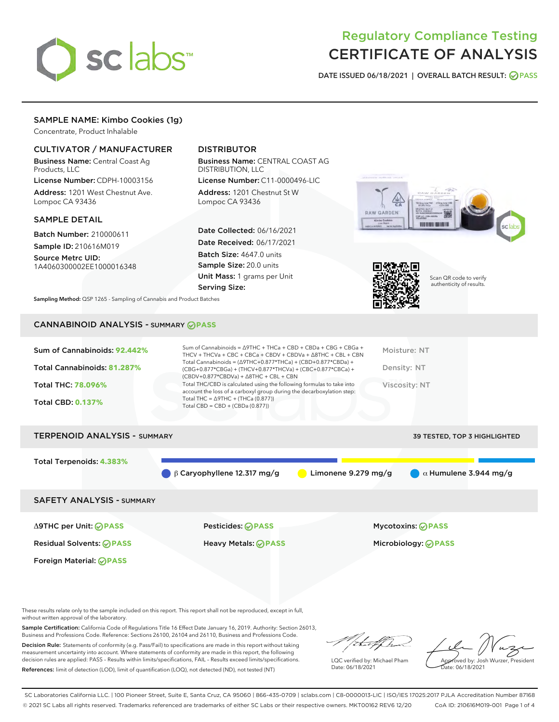

## Regulatory Compliance Testing CERTIFICATE OF ANALYSIS

DATE ISSUED 06/18/2021 | OVERALL BATCH RESULT: @ PASS

## SAMPLE NAME: Kimbo Cookies (1g)

Concentrate, Product Inhalable

## CULTIVATOR / MANUFACTURER

Business Name: Central Coast Ag Products, LLC

License Number: CDPH-10003156 Address: 1201 West Chestnut Ave. Lompoc CA 93436

#### SAMPLE DETAIL

Batch Number: 210000611 Sample ID: 210616M019

Source Metrc UID: 1A4060300002EE1000016348

## DISTRIBUTOR

Business Name: CENTRAL COAST AG DISTRIBUTION, LLC

License Number: C11-0000496-LIC Address: 1201 Chestnut St W Lompoc CA 93436

Date Collected: 06/16/2021 Date Received: 06/17/2021 Batch Size: 4647.0 units Sample Size: 20.0 units Unit Mass: 1 grams per Unit Serving Size:





Scan QR code to verify authenticity of results.

Sampling Method: QSP 1265 - Sampling of Cannabis and Product Batches

## CANNABINOID ANALYSIS - SUMMARY **PASS**

| $(CBDV+0.877*CBDVa) + \Delta 8THC + CBL + CBN$<br>Total THC/CBD is calculated using the following formulas to take into<br><b>Total THC: 78.096%</b><br>Viscosity: NT<br>account the loss of a carboxyl group during the decarboxylation step:<br>Total THC = $\triangle$ 9THC + (THCa (0.877))<br><b>Total CBD: 0.137%</b><br>Total CBD = $CBD + (CBDa (0.877))$ | Sum of Cannabinoids: 92.442%<br>Total Cannabinoids: 81.287% | Sum of Cannabinoids = $\triangle$ 9THC + THCa + CBD + CBDa + CBG + CBGa +<br>THCV + THCVa + CBC + CBCa + CBDV + CBDVa + $\Delta$ 8THC + CBL + CBN<br>Total Cannabinoids = $(\Delta 9THC + 0.877*THCa) + (CBD + 0.877*CBDa) +$<br>(CBG+0.877*CBGa) + (THCV+0.877*THCVa) + (CBC+0.877*CBCa) + | Moisture: NT<br>Density: NT |
|-------------------------------------------------------------------------------------------------------------------------------------------------------------------------------------------------------------------------------------------------------------------------------------------------------------------------------------------------------------------|-------------------------------------------------------------|---------------------------------------------------------------------------------------------------------------------------------------------------------------------------------------------------------------------------------------------------------------------------------------------|-----------------------------|
|                                                                                                                                                                                                                                                                                                                                                                   |                                                             |                                                                                                                                                                                                                                                                                             |                             |
|                                                                                                                                                                                                                                                                                                                                                                   |                                                             |                                                                                                                                                                                                                                                                                             |                             |
|                                                                                                                                                                                                                                                                                                                                                                   |                                                             |                                                                                                                                                                                                                                                                                             |                             |

# TERPENOID ANALYSIS - SUMMARY 39 TESTED, TOP 3 HIGHLIGHTED Total Terpenoids: **4.383%** β Caryophyllene 12.317 mg/g **b** Limonene 9.279 mg/g  $\alpha$  Humulene 3.944 mg/g SAFETY ANALYSIS - SUMMARY Δ9THC per Unit: **PASS** Pesticides: **PASS** Mycotoxins: **PASS**

Foreign Material: **PASS**

Residual Solvents: **PASS** Heavy Metals: **PASS** Microbiology: **PASS**

These results relate only to the sample included on this report. This report shall not be reproduced, except in full, without written approval of the laboratory.

Sample Certification: California Code of Regulations Title 16 Effect Date January 16, 2019. Authority: Section 26013, Business and Professions Code. Reference: Sections 26100, 26104 and 26110, Business and Professions Code. Decision Rule: Statements of conformity (e.g. Pass/Fail) to specifications are made in this report without taking

measurement uncertainty into account. Where statements of conformity are made in this report, the following decision rules are applied: PASS – Results within limits/specifications, FAIL – Results exceed limits/specifications. References: limit of detection (LOD), limit of quantification (LOQ), not detected (ND), not tested (NT)

:t.aff h

LQC verified by: Michael Pham Date: 06/18/2021

Approved by: Josh Wurzer, President ate: 06/18/2021

SC Laboratories California LLC. | 100 Pioneer Street, Suite E, Santa Cruz, CA 95060 | 866-435-0709 | sclabs.com | C8-0000013-LIC | ISO/IES 17025:2017 PJLA Accreditation Number 87168 © 2021 SC Labs all rights reserved. Trademarks referenced are trademarks of either SC Labs or their respective owners. MKT00162 REV6 12/20 CoA ID: 210616M019-001 Page 1 of 4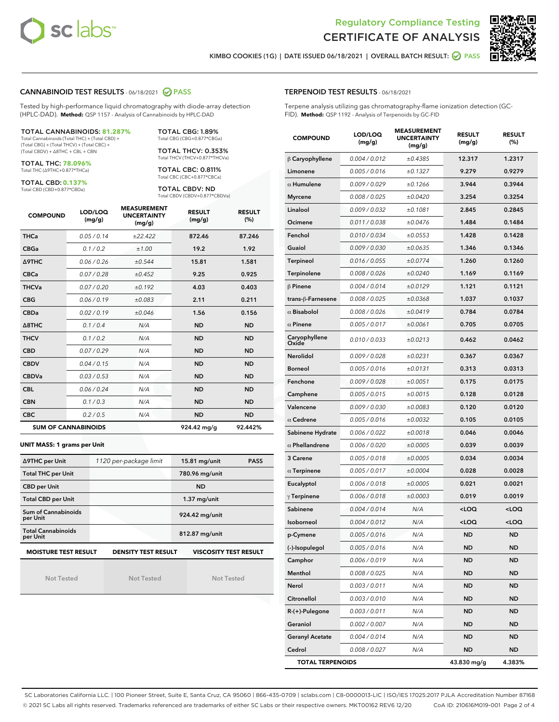



KIMBO COOKIES (1G) | DATE ISSUED 06/18/2021 | OVERALL BATCH RESULT: **● PASS** 

#### CANNABINOID TEST RESULTS - 06/18/2021 2 PASS

Tested by high-performance liquid chromatography with diode-array detection (HPLC-DAD). **Method:** QSP 1157 - Analysis of Cannabinoids by HPLC-DAD

#### TOTAL CANNABINOIDS: **81.287%**

Total Cannabinoids (Total THC) + (Total CBD) + (Total CBG) + (Total THCV) + (Total CBC) + (Total CBDV) + ∆8THC + CBL + CBN

TOTAL THC: **78.096%** Total THC (∆9THC+0.877\*THCa)

TOTAL CBD: **0.137%**

Total CBD (CBD+0.877\*CBDa)

TOTAL CBG: 1.89% Total CBG (CBG+0.877\*CBGa)

TOTAL THCV: 0.353% Total THCV (THCV+0.877\*THCVa)

TOTAL CBC: 0.811% Total CBC (CBC+0.877\*CBCa)

TOTAL CBDV: ND Total CBDV (CBDV+0.877\*CBDVa)

| <b>COMPOUND</b> | LOD/LOQ<br>(mg/g)          | <b>MEASUREMENT</b><br><b>UNCERTAINTY</b><br>(mg/g) | <b>RESULT</b><br>(mg/g) | <b>RESULT</b><br>(%) |
|-----------------|----------------------------|----------------------------------------------------|-------------------------|----------------------|
| <b>THCa</b>     | 0.05/0.14                  | ±22.422                                            | 872.46                  | 87.246               |
| <b>CBGa</b>     | 0.1/0.2                    | ±1.00                                              | 19.2                    | 1.92                 |
| <b>A9THC</b>    | 0.06 / 0.26                | ±0.544                                             | 15.81                   | 1.581                |
| <b>CBCa</b>     | 0.07/0.28                  | ±0.452                                             | 9.25                    | 0.925                |
| <b>THCVa</b>    | 0.07/0.20                  | ±0.192                                             | 4.03                    | 0.403                |
| <b>CBG</b>      | 0.06/0.19                  | ±0.083                                             | 2.11                    | 0.211                |
| <b>CBDa</b>     | 0.02/0.19                  | ±0.046                                             | 1.56                    | 0.156                |
| A8THC           | 0.1/0.4                    | N/A                                                | <b>ND</b>               | <b>ND</b>            |
| <b>THCV</b>     | 0.1/0.2                    | N/A                                                | <b>ND</b>               | <b>ND</b>            |
| <b>CBD</b>      | 0.07/0.29                  | N/A                                                | <b>ND</b>               | <b>ND</b>            |
| <b>CBDV</b>     | 0.04/0.15                  | N/A                                                | <b>ND</b>               | <b>ND</b>            |
| <b>CBDVa</b>    | 0.03/0.53                  | N/A                                                | <b>ND</b>               | <b>ND</b>            |
| <b>CBL</b>      | 0.06 / 0.24                | N/A                                                | <b>ND</b>               | <b>ND</b>            |
| <b>CBN</b>      | 0.1/0.3                    | N/A                                                | <b>ND</b>               | <b>ND</b>            |
| <b>CBC</b>      | 0.2 / 0.5                  | N/A                                                | <b>ND</b>               | <b>ND</b>            |
|                 | <b>SUM OF CANNABINOIDS</b> | 924.42 mg/g                                        | 92.442%                 |                      |

#### **UNIT MASS: 1 grams per Unit**

| ∆9THC per Unit                         | 1120 per-package limit     | <b>PASS</b><br>15.81 mg/unit |  |
|----------------------------------------|----------------------------|------------------------------|--|
| <b>Total THC per Unit</b>              |                            | 780.96 mg/unit               |  |
| <b>CBD per Unit</b>                    |                            | <b>ND</b>                    |  |
| <b>Total CBD per Unit</b>              |                            | $1.37$ mg/unit               |  |
| <b>Sum of Cannabinoids</b><br>per Unit |                            | 924.42 mg/unit               |  |
| <b>Total Cannabinoids</b><br>per Unit  |                            | 812.87 mg/unit               |  |
| <b>MOISTURE TEST RESULT</b>            | <b>DENSITY TEST RESULT</b> | <b>VISCOSITY TEST RESULT</b> |  |

Not Tested

**MOISTURE TEST RESULT**

Not Tested

Not Tested

#### TERPENOID TEST RESULTS - 06/18/2021

Terpene analysis utilizing gas chromatography-flame ionization detection (GC-FID). **Method:** QSP 1192 - Analysis of Terpenoids by GC-FID

| <b>COMPOUND</b>         | LOD/LOQ<br>(mg/g) | <b>MEASUREMENT</b><br><b>UNCERTAINTY</b><br>(mg/g) | <b>RESULT</b><br>(mg/g)                         | <b>RESULT</b><br>(%) |
|-------------------------|-------------------|----------------------------------------------------|-------------------------------------------------|----------------------|
| $\beta$ Caryophyllene   | 0.004 / 0.012     | ±0.4385                                            | 12.317                                          | 1.2317               |
| Limonene                | 0.005 / 0.016     | ±0.1327                                            | 9.279                                           | 0.9279               |
| $\alpha$ Humulene       | 0.009 / 0.029     | ±0.1266                                            | 3.944                                           | 0.3944               |
| <b>Myrcene</b>          | 0.008 / 0.025     | ±0.0420                                            | 3.254                                           | 0.3254               |
| Linalool                | 0.009 / 0.032     | ±0.1081                                            | 2.845                                           | 0.2845               |
| Ocimene                 | 0.011 / 0.038     | ±0.0476                                            | 1.484                                           | 0.1484               |
| Fenchol                 | 0.010 / 0.034     | ±0.0553                                            | 1.428                                           | 0.1428               |
| Guaiol                  | 0.009 / 0.030     | ±0.0635                                            | 1.346                                           | 0.1346               |
| <b>Terpineol</b>        | 0.016 / 0.055     | ±0.0774                                            | 1.260                                           | 0.1260               |
| Terpinolene             | 0.008 / 0.026     | ±0.0240                                            | 1.169                                           | 0.1169               |
| $\beta$ Pinene          | 0.004 / 0.014     | ±0.0129                                            | 1.121                                           | 0.1121               |
| trans-ß-Farnesene       | 0.008 / 0.025     | ±0.0368                                            | 1.037                                           | 0.1037               |
| $\alpha$ Bisabolol      | 0.008 / 0.026     | ±0.0419                                            | 0.784                                           | 0.0784               |
| $\alpha$ Pinene         | 0.005 / 0.017     | ±0.0061                                            | 0.705                                           | 0.0705               |
| Caryophyllene<br>Oxide  | 0.010 / 0.033     | ±0.0213                                            | 0.462                                           | 0.0462               |
| Nerolidol               | 0.009 / 0.028     | ±0.0231                                            | 0.367                                           | 0.0367               |
| Borneol                 | 0.005 / 0.016     | ±0.0131                                            | 0.313                                           | 0.0313               |
| Fenchone                | 0.009 / 0.028     | ±0.0051                                            | 0.175                                           | 0.0175               |
| Camphene                | 0.005 / 0.015     | ±0.0015                                            | 0.128                                           | 0.0128               |
| Valencene               | 0.009 / 0.030     | ±0.0083                                            | 0.120                                           | 0.0120               |
| $\alpha$ Cedrene        | 0.005 / 0.016     | ±0.0032                                            | 0.105                                           | 0.0105               |
| Sabinene Hydrate        | 0.006 / 0.022     | ±0.0018                                            | 0.046                                           | 0.0046               |
| $\alpha$ Phellandrene   | 0.006 / 0.020     | ±0.0005                                            | 0.039                                           | 0.0039               |
| 3 Carene                | 0.005 / 0.018     | ±0.0005                                            | 0.034                                           | 0.0034               |
| $\alpha$ Terpinene      | 0.005 / 0.017     | ±0.0004                                            | 0.028                                           | 0.0028               |
| Eucalyptol              | 0.006 / 0.018     | ±0.0005                                            | 0.021                                           | 0.0021               |
| $\gamma$ Terpinene      | 0.006 / 0.018     | ±0.0003                                            | 0.019                                           | 0.0019               |
| Sabinene                | 0.004 / 0.014     | N/A                                                | <loq< th=""><th><loq< th=""></loq<></th></loq<> | <loq< th=""></loq<>  |
| Isoborneol              | 0.004 / 0.012     | N/A                                                | <loq< th=""><th><loq< th=""></loq<></th></loq<> | <loq< th=""></loq<>  |
| p-Cymene                | 0.005 / 0.016     | N/A                                                | <b>ND</b>                                       | <b>ND</b>            |
| (-)-Isopulegol          | 0.005 / 0.016     | N/A                                                | ND                                              | ND                   |
| Camphor                 | 0.006 / 0.019     | N/A                                                | <b>ND</b>                                       | <b>ND</b>            |
| Menthol                 | 0.008 / 0.025     | N/A                                                | <b>ND</b>                                       | <b>ND</b>            |
| Nerol                   | 0.003 / 0.011     | N/A                                                | ND                                              | ND                   |
| Citronellol             | 0.003 / 0.010     | N/A                                                | ND                                              | ND                   |
| R-(+)-Pulegone          | 0.003 / 0.011     | N/A                                                | ND                                              | ND                   |
| Geraniol                | 0.002 / 0.007     | N/A                                                | ND                                              | ND                   |
| <b>Geranyl Acetate</b>  | 0.004 / 0.014     | N/A                                                | ND                                              | ND                   |
| Cedrol                  | 0.008 / 0.027     | N/A                                                | ND                                              | ND                   |
| <b>TOTAL TERPENOIDS</b> |                   |                                                    | 43.830 mg/g                                     | 4.383%               |

SC Laboratories California LLC. | 100 Pioneer Street, Suite E, Santa Cruz, CA 95060 | 866-435-0709 | sclabs.com | C8-0000013-LIC | ISO/IES 17025:2017 PJLA Accreditation Number 87168 © 2021 SC Labs all rights reserved. Trademarks referenced are trademarks of either SC Labs or their respective owners. MKT00162 REV6 12/20 CoA ID: 210616M019-001 Page 2 of 4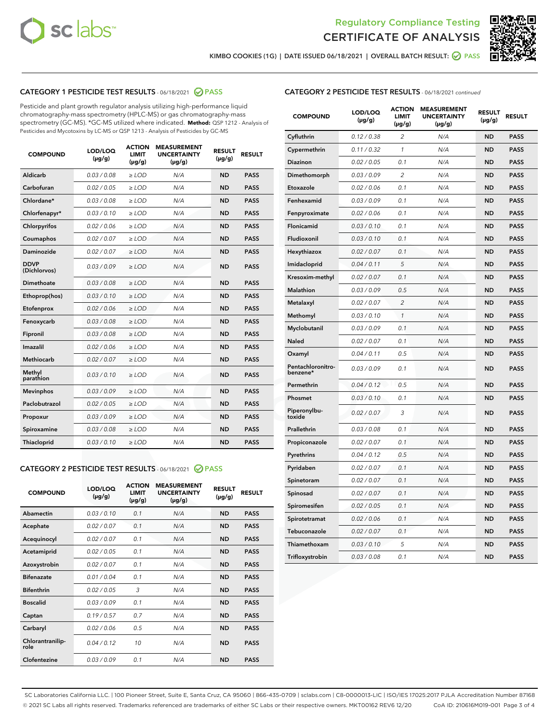



KIMBO COOKIES (1G) | DATE ISSUED 06/18/2021 | OVERALL BATCH RESULT:  $\bigotimes$  PASS

## CATEGORY 1 PESTICIDE TEST RESULTS - 06/18/2021 2 PASS

Pesticide and plant growth regulator analysis utilizing high-performance liquid chromatography-mass spectrometry (HPLC-MS) or gas chromatography-mass spectrometry (GC-MS). \*GC-MS utilized where indicated. **Method:** QSP 1212 - Analysis of Pesticides and Mycotoxins by LC-MS or QSP 1213 - Analysis of Pesticides by GC-MS

| <b>Aldicarb</b><br>0.03 / 0.08<br><b>ND</b><br>$\ge$ LOD<br>N/A<br><b>PASS</b><br>Carbofuran<br>0.02/0.05<br>$\ge$ LOD<br>N/A<br><b>ND</b><br><b>PASS</b><br>Chlordane*<br>0.03 / 0.08<br><b>ND</b><br>$>$ LOD<br>N/A<br><b>PASS</b><br>0.03/0.10<br><b>ND</b><br><b>PASS</b><br>Chlorfenapyr*<br>$\ge$ LOD<br>N/A<br>0.02 / 0.06<br>N/A<br><b>ND</b><br><b>PASS</b><br>Chlorpyrifos<br>$\ge$ LOD<br>0.02 / 0.07<br>N/A<br><b>ND</b><br><b>PASS</b><br>Coumaphos<br>$>$ LOD<br>Daminozide<br>0.02 / 0.07<br>$\ge$ LOD<br>N/A<br><b>ND</b><br><b>PASS</b><br><b>DDVP</b><br>0.03/0.09<br>$\ge$ LOD<br>N/A<br><b>ND</b><br><b>PASS</b><br>(Dichlorvos)<br>Dimethoate<br><b>ND</b><br><b>PASS</b><br>0.03 / 0.08<br>$>$ LOD<br>N/A<br>0.03/0.10<br>Ethoprop(hos)<br>$\ge$ LOD<br>N/A<br><b>ND</b><br><b>PASS</b><br>0.02 / 0.06<br>$\ge$ LOD<br>N/A<br><b>ND</b><br><b>PASS</b><br>Etofenprox<br>Fenoxycarb<br>0.03 / 0.08<br>$>$ LOD<br>N/A<br><b>ND</b><br><b>PASS</b><br>0.03 / 0.08<br><b>ND</b><br><b>PASS</b><br>Fipronil<br>$\ge$ LOD<br>N/A<br>Imazalil<br>0.02 / 0.06<br>$>$ LOD<br>N/A<br><b>ND</b><br><b>PASS</b><br>0.02 / 0.07<br>Methiocarb<br>N/A<br><b>ND</b><br>$>$ LOD<br><b>PASS</b><br>Methyl<br>0.03/0.10<br>$\ge$ LOD<br>N/A<br><b>ND</b><br><b>PASS</b><br>parathion<br>0.03/0.09<br>$\ge$ LOD<br>N/A<br><b>ND</b><br><b>PASS</b><br><b>Mevinphos</b><br>Paclobutrazol<br>0.02 / 0.05<br>$\ge$ LOD<br>N/A<br><b>ND</b><br><b>PASS</b><br>0.03/0.09<br>N/A<br>$\ge$ LOD<br><b>ND</b><br><b>PASS</b><br>Propoxur<br>0.03 / 0.08<br><b>ND</b><br><b>PASS</b><br>Spiroxamine<br>$\ge$ LOD<br>N/A<br><b>PASS</b><br>Thiacloprid<br>0.03/0.10<br>$\ge$ LOD<br>N/A<br><b>ND</b> | <b>COMPOUND</b> | LOD/LOQ<br>$(\mu g/g)$ | <b>ACTION</b><br>LIMIT<br>$(\mu g/g)$ | <b>MEASUREMENT</b><br><b>UNCERTAINTY</b><br>$(\mu g/g)$ | <b>RESULT</b><br>$(\mu g/g)$ | <b>RESULT</b> |
|----------------------------------------------------------------------------------------------------------------------------------------------------------------------------------------------------------------------------------------------------------------------------------------------------------------------------------------------------------------------------------------------------------------------------------------------------------------------------------------------------------------------------------------------------------------------------------------------------------------------------------------------------------------------------------------------------------------------------------------------------------------------------------------------------------------------------------------------------------------------------------------------------------------------------------------------------------------------------------------------------------------------------------------------------------------------------------------------------------------------------------------------------------------------------------------------------------------------------------------------------------------------------------------------------------------------------------------------------------------------------------------------------------------------------------------------------------------------------------------------------------------------------------------------------------------------------------------------------------------------------------------------------------------------------------------------|-----------------|------------------------|---------------------------------------|---------------------------------------------------------|------------------------------|---------------|
|                                                                                                                                                                                                                                                                                                                                                                                                                                                                                                                                                                                                                                                                                                                                                                                                                                                                                                                                                                                                                                                                                                                                                                                                                                                                                                                                                                                                                                                                                                                                                                                                                                                                                              |                 |                        |                                       |                                                         |                              |               |
|                                                                                                                                                                                                                                                                                                                                                                                                                                                                                                                                                                                                                                                                                                                                                                                                                                                                                                                                                                                                                                                                                                                                                                                                                                                                                                                                                                                                                                                                                                                                                                                                                                                                                              |                 |                        |                                       |                                                         |                              |               |
|                                                                                                                                                                                                                                                                                                                                                                                                                                                                                                                                                                                                                                                                                                                                                                                                                                                                                                                                                                                                                                                                                                                                                                                                                                                                                                                                                                                                                                                                                                                                                                                                                                                                                              |                 |                        |                                       |                                                         |                              |               |
|                                                                                                                                                                                                                                                                                                                                                                                                                                                                                                                                                                                                                                                                                                                                                                                                                                                                                                                                                                                                                                                                                                                                                                                                                                                                                                                                                                                                                                                                                                                                                                                                                                                                                              |                 |                        |                                       |                                                         |                              |               |
|                                                                                                                                                                                                                                                                                                                                                                                                                                                                                                                                                                                                                                                                                                                                                                                                                                                                                                                                                                                                                                                                                                                                                                                                                                                                                                                                                                                                                                                                                                                                                                                                                                                                                              |                 |                        |                                       |                                                         |                              |               |
|                                                                                                                                                                                                                                                                                                                                                                                                                                                                                                                                                                                                                                                                                                                                                                                                                                                                                                                                                                                                                                                                                                                                                                                                                                                                                                                                                                                                                                                                                                                                                                                                                                                                                              |                 |                        |                                       |                                                         |                              |               |
|                                                                                                                                                                                                                                                                                                                                                                                                                                                                                                                                                                                                                                                                                                                                                                                                                                                                                                                                                                                                                                                                                                                                                                                                                                                                                                                                                                                                                                                                                                                                                                                                                                                                                              |                 |                        |                                       |                                                         |                              |               |
|                                                                                                                                                                                                                                                                                                                                                                                                                                                                                                                                                                                                                                                                                                                                                                                                                                                                                                                                                                                                                                                                                                                                                                                                                                                                                                                                                                                                                                                                                                                                                                                                                                                                                              |                 |                        |                                       |                                                         |                              |               |
|                                                                                                                                                                                                                                                                                                                                                                                                                                                                                                                                                                                                                                                                                                                                                                                                                                                                                                                                                                                                                                                                                                                                                                                                                                                                                                                                                                                                                                                                                                                                                                                                                                                                                              |                 |                        |                                       |                                                         |                              |               |
|                                                                                                                                                                                                                                                                                                                                                                                                                                                                                                                                                                                                                                                                                                                                                                                                                                                                                                                                                                                                                                                                                                                                                                                                                                                                                                                                                                                                                                                                                                                                                                                                                                                                                              |                 |                        |                                       |                                                         |                              |               |
|                                                                                                                                                                                                                                                                                                                                                                                                                                                                                                                                                                                                                                                                                                                                                                                                                                                                                                                                                                                                                                                                                                                                                                                                                                                                                                                                                                                                                                                                                                                                                                                                                                                                                              |                 |                        |                                       |                                                         |                              |               |
|                                                                                                                                                                                                                                                                                                                                                                                                                                                                                                                                                                                                                                                                                                                                                                                                                                                                                                                                                                                                                                                                                                                                                                                                                                                                                                                                                                                                                                                                                                                                                                                                                                                                                              |                 |                        |                                       |                                                         |                              |               |
|                                                                                                                                                                                                                                                                                                                                                                                                                                                                                                                                                                                                                                                                                                                                                                                                                                                                                                                                                                                                                                                                                                                                                                                                                                                                                                                                                                                                                                                                                                                                                                                                                                                                                              |                 |                        |                                       |                                                         |                              |               |
|                                                                                                                                                                                                                                                                                                                                                                                                                                                                                                                                                                                                                                                                                                                                                                                                                                                                                                                                                                                                                                                                                                                                                                                                                                                                                                                                                                                                                                                                                                                                                                                                                                                                                              |                 |                        |                                       |                                                         |                              |               |
|                                                                                                                                                                                                                                                                                                                                                                                                                                                                                                                                                                                                                                                                                                                                                                                                                                                                                                                                                                                                                                                                                                                                                                                                                                                                                                                                                                                                                                                                                                                                                                                                                                                                                              |                 |                        |                                       |                                                         |                              |               |
|                                                                                                                                                                                                                                                                                                                                                                                                                                                                                                                                                                                                                                                                                                                                                                                                                                                                                                                                                                                                                                                                                                                                                                                                                                                                                                                                                                                                                                                                                                                                                                                                                                                                                              |                 |                        |                                       |                                                         |                              |               |
|                                                                                                                                                                                                                                                                                                                                                                                                                                                                                                                                                                                                                                                                                                                                                                                                                                                                                                                                                                                                                                                                                                                                                                                                                                                                                                                                                                                                                                                                                                                                                                                                                                                                                              |                 |                        |                                       |                                                         |                              |               |
|                                                                                                                                                                                                                                                                                                                                                                                                                                                                                                                                                                                                                                                                                                                                                                                                                                                                                                                                                                                                                                                                                                                                                                                                                                                                                                                                                                                                                                                                                                                                                                                                                                                                                              |                 |                        |                                       |                                                         |                              |               |
|                                                                                                                                                                                                                                                                                                                                                                                                                                                                                                                                                                                                                                                                                                                                                                                                                                                                                                                                                                                                                                                                                                                                                                                                                                                                                                                                                                                                                                                                                                                                                                                                                                                                                              |                 |                        |                                       |                                                         |                              |               |
|                                                                                                                                                                                                                                                                                                                                                                                                                                                                                                                                                                                                                                                                                                                                                                                                                                                                                                                                                                                                                                                                                                                                                                                                                                                                                                                                                                                                                                                                                                                                                                                                                                                                                              |                 |                        |                                       |                                                         |                              |               |
|                                                                                                                                                                                                                                                                                                                                                                                                                                                                                                                                                                                                                                                                                                                                                                                                                                                                                                                                                                                                                                                                                                                                                                                                                                                                                                                                                                                                                                                                                                                                                                                                                                                                                              |                 |                        |                                       |                                                         |                              |               |

#### CATEGORY 2 PESTICIDE TEST RESULTS - 06/18/2021 @ PASS

| <b>COMPOUND</b>          | LOD/LOO<br>$(\mu g/g)$ | <b>ACTION</b><br>LIMIT<br>$(\mu g/g)$ | <b>MEASUREMENT</b><br><b>UNCERTAINTY</b><br>$(\mu g/g)$ | <b>RESULT</b><br>$(\mu g/g)$ | <b>RESULT</b> |
|--------------------------|------------------------|---------------------------------------|---------------------------------------------------------|------------------------------|---------------|
| Abamectin                | 0.03/0.10              | 0.1                                   | N/A                                                     | <b>ND</b>                    | <b>PASS</b>   |
| Acephate                 | 0.02/0.07              | 0.1                                   | N/A                                                     | <b>ND</b>                    | <b>PASS</b>   |
| Acequinocyl              | 0.02/0.07              | 0.1                                   | N/A                                                     | <b>ND</b>                    | <b>PASS</b>   |
| Acetamiprid              | 0.02/0.05              | 0.1                                   | N/A                                                     | <b>ND</b>                    | <b>PASS</b>   |
| Azoxystrobin             | 0.02/0.07              | 0.1                                   | N/A                                                     | <b>ND</b>                    | <b>PASS</b>   |
| <b>Bifenazate</b>        | 0.01 / 0.04            | 0.1                                   | N/A                                                     | <b>ND</b>                    | <b>PASS</b>   |
| <b>Bifenthrin</b>        | 0.02 / 0.05            | 3                                     | N/A                                                     | <b>ND</b>                    | <b>PASS</b>   |
| <b>Boscalid</b>          | 0.03/0.09              | 0.1                                   | N/A                                                     | <b>ND</b>                    | <b>PASS</b>   |
| Captan                   | 0.19/0.57              | 0.7                                   | N/A                                                     | <b>ND</b>                    | <b>PASS</b>   |
| Carbaryl                 | 0.02/0.06              | 0.5                                   | N/A                                                     | <b>ND</b>                    | <b>PASS</b>   |
| Chlorantranilip-<br>role | 0.04/0.12              | 10                                    | N/A                                                     | <b>ND</b>                    | <b>PASS</b>   |
| Clofentezine             | 0.03/0.09              | 0.1                                   | N/A                                                     | <b>ND</b>                    | <b>PASS</b>   |

| <b>COMPOUND</b>               | LOD/LOQ<br>(µg/g) | <b>ACTION</b><br>LIMIT<br>(µg/g) | <b>MEASUREMENT</b><br><b>UNCERTAINTY</b><br>(µg/g) | <b>RESULT</b><br>(µg/g) | <b>RESULT</b> |
|-------------------------------|-------------------|----------------------------------|----------------------------------------------------|-------------------------|---------------|
| Cyfluthrin                    | 0.12 / 0.38       | $\overline{c}$                   | N/A                                                | <b>ND</b>               | <b>PASS</b>   |
| Cypermethrin                  | 0.11/0.32         | 1                                | N/A                                                | <b>ND</b>               | <b>PASS</b>   |
| <b>Diazinon</b>               | 0.02 / 0.05       | 0.1                              | N/A                                                | <b>ND</b>               | <b>PASS</b>   |
| Dimethomorph                  | 0.03 / 0.09       | 2                                | N/A                                                | <b>ND</b>               | <b>PASS</b>   |
| Etoxazole                     | 0.02 / 0.06       | 0.1                              | N/A                                                | <b>ND</b>               | <b>PASS</b>   |
| Fenhexamid                    | 0.03 / 0.09       | 0.1                              | N/A                                                | <b>ND</b>               | <b>PASS</b>   |
| Fenpyroximate                 | 0.02 / 0.06       | 0.1                              | N/A                                                | <b>ND</b>               | <b>PASS</b>   |
| Flonicamid                    | 0.03 / 0.10       | 0.1                              | N/A                                                | <b>ND</b>               | <b>PASS</b>   |
| Fludioxonil                   | 0.03/0.10         | 0.1                              | N/A                                                | <b>ND</b>               | <b>PASS</b>   |
| Hexythiazox                   | 0.02 / 0.07       | 0.1                              | N/A                                                | <b>ND</b>               | <b>PASS</b>   |
| Imidacloprid                  | 0.04 / 0.11       | 5                                | N/A                                                | <b>ND</b>               | <b>PASS</b>   |
| Kresoxim-methyl               | 0.02 / 0.07       | 0.1                              | N/A                                                | <b>ND</b>               | <b>PASS</b>   |
| <b>Malathion</b>              | 0.03 / 0.09       | 0.5                              | N/A                                                | <b>ND</b>               | <b>PASS</b>   |
| Metalaxyl                     | 0.02 / 0.07       | $\overline{c}$                   | N/A                                                | <b>ND</b>               | <b>PASS</b>   |
| Methomyl                      | 0.03 / 0.10       | 1                                | N/A                                                | <b>ND</b>               | <b>PASS</b>   |
| Myclobutanil                  | 0.03/0.09         | 0.1                              | N/A                                                | <b>ND</b>               | <b>PASS</b>   |
| Naled                         | 0.02 / 0.07       | 0.1                              | N/A                                                | <b>ND</b>               | <b>PASS</b>   |
| Oxamyl                        | 0.04 / 0.11       | 0.5                              | N/A                                                | <b>ND</b>               | <b>PASS</b>   |
| Pentachloronitro-<br>benzene* | 0.03/0.09         | 0.1                              | N/A                                                | <b>ND</b>               | <b>PASS</b>   |
| Permethrin                    | 0.04 / 0.12       | 0.5                              | N/A                                                | <b>ND</b>               | <b>PASS</b>   |
| Phosmet                       | 0.03 / 0.10       | 0.1                              | N/A                                                | <b>ND</b>               | <b>PASS</b>   |
| Piperonylbu-<br>toxide        | 0.02 / 0.07       | 3                                | N/A                                                | <b>ND</b>               | <b>PASS</b>   |
| Prallethrin                   | 0.03 / 0.08       | 0.1                              | N/A                                                | <b>ND</b>               | <b>PASS</b>   |
| Propiconazole                 | 0.02 / 0.07       | 0.1                              | N/A                                                | <b>ND</b>               | <b>PASS</b>   |
| Pyrethrins                    | 0.04 / 0.12       | 0.5                              | N/A                                                | <b>ND</b>               | <b>PASS</b>   |
| Pyridaben                     | 0.02 / 0.07       | 0.1                              | N/A                                                | <b>ND</b>               | <b>PASS</b>   |
| Spinetoram                    | 0.02 / 0.07       | 0.1                              | N/A                                                | <b>ND</b>               | <b>PASS</b>   |
| Spinosad                      | 0.02 / 0.07       | 0.1                              | N/A                                                | <b>ND</b>               | <b>PASS</b>   |
| Spiromesifen                  | 0.02 / 0.05       | 0.1                              | N/A                                                | <b>ND</b>               | <b>PASS</b>   |
| Spirotetramat                 | 0.02 / 0.06       | 0.1                              | N/A                                                | <b>ND</b>               | <b>PASS</b>   |
| Tebuconazole                  | 0.02 / 0.07       | 0.1                              | N/A                                                | <b>ND</b>               | <b>PASS</b>   |
| Thiamethoxam                  | 0.03 / 0.10       | 5                                | N/A                                                | <b>ND</b>               | <b>PASS</b>   |
| Trifloxystrobin               | 0.03 / 0.08       | 0.1                              | N/A                                                | <b>ND</b>               | <b>PASS</b>   |

SC Laboratories California LLC. | 100 Pioneer Street, Suite E, Santa Cruz, CA 95060 | 866-435-0709 | sclabs.com | C8-0000013-LIC | ISO/IES 17025:2017 PJLA Accreditation Number 87168 © 2021 SC Labs all rights reserved. Trademarks referenced are trademarks of either SC Labs or their respective owners. MKT00162 REV6 12/20 CoA ID: 210616M019-001 Page 3 of 4